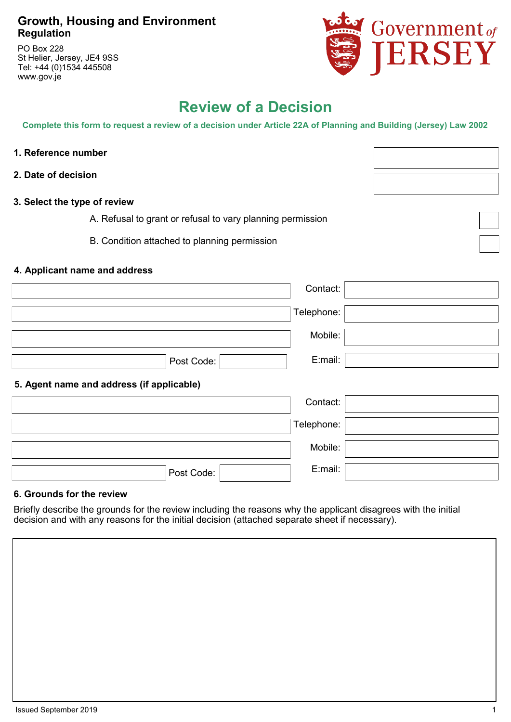### **Growth, Housing and Environment Regulation**

PO Box 228 St Helier, Jersey, JE4 9SS Tel: +44 (0)1534 445508 www.gov.je



# **Review of a Decision**

**Complete this form to request a review of a decision under Article 22A of Planning and Building (Jersey) Law 2002**

- **1. Reference number**
- **2. Date of decision**
- **3. Select the type of review**

A. Refusal to grant or refusal to vary planning permission

B. Condition attached to planning permission

### **4. Applicant name and address**

|                                           | Contact:   |
|-------------------------------------------|------------|
|                                           | Telephone: |
|                                           | Mobile:    |
| Post Code:                                | E:mail:    |
| 5. Agent name and address (if applicable) |            |
|                                           | Contact:   |
|                                           | Telephone: |
|                                           | Mobile:    |
| Post Code:                                | E:mail:    |

### **6. Grounds for the review**

Briefly describe the grounds for the review including the reasons why the applicant disagrees with the initial decision and with any reasons for the initial decision (attached separate sheet if necessary).